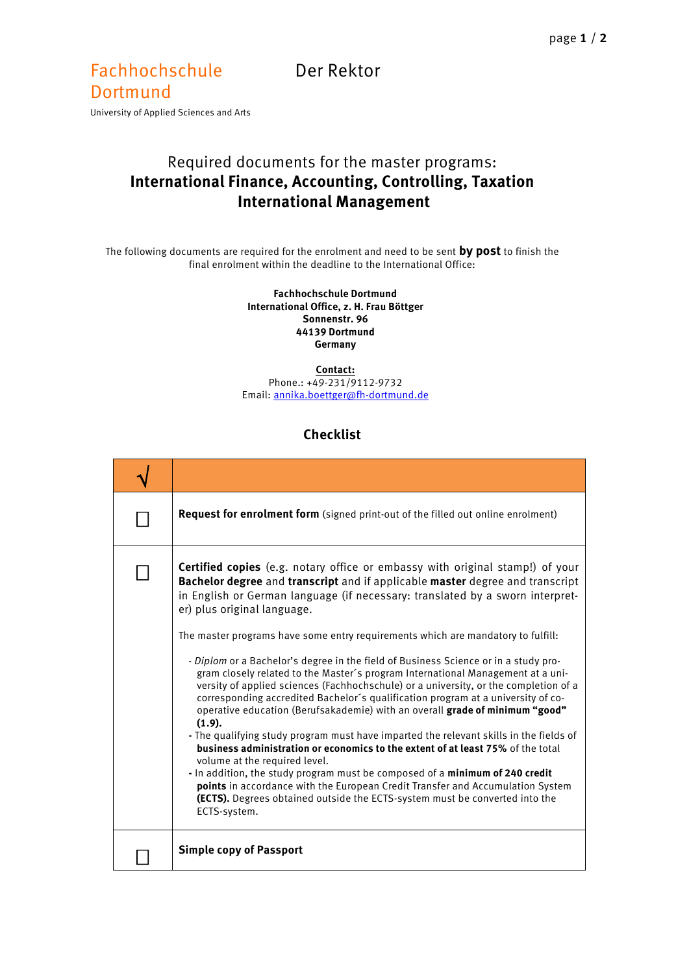## Fachhochschule Der Rektor Dortmund

University of Applied Sciences and Arts

## Required documents for the master programs: **International Finance, Accounting, Controlling, Taxation International Management**

The following documents are required for the enrolment and need to be sent **by post** to finish the final enrolment within the deadline to the International Office:

## **Fachhochschule Dortmund International Office, z. H. Frau Böttger Sonnenstr. 96 44139 Dortmund Germany**

**Contact:** Phone.: +49-231/9112-9732

Email[: annika.boettger@fh-dortmund.de](mailto:annika.boettger@fh-dortmund.de)

## **Checklist**

| Request for enrolment form (signed print-out of the filled out online enrolment)                                                                                                                                                                                                                                                                                                                                                                                                                                                                                                                                                                                                                                                                                                                                                                                                                                                                                                                                                                                                                                                                                                                                                                                                                                |
|-----------------------------------------------------------------------------------------------------------------------------------------------------------------------------------------------------------------------------------------------------------------------------------------------------------------------------------------------------------------------------------------------------------------------------------------------------------------------------------------------------------------------------------------------------------------------------------------------------------------------------------------------------------------------------------------------------------------------------------------------------------------------------------------------------------------------------------------------------------------------------------------------------------------------------------------------------------------------------------------------------------------------------------------------------------------------------------------------------------------------------------------------------------------------------------------------------------------------------------------------------------------------------------------------------------------|
| <b>Certified copies</b> (e.g. notary office or embassy with original stamp!) of your<br>Bachelor degree and transcript and if applicable master degree and transcript<br>in English or German language (if necessary: translated by a sworn interpret-<br>er) plus original language.<br>The master programs have some entry requirements which are mandatory to fulfill:<br>- Diplom or a Bachelor's degree in the field of Business Science or in a study pro-<br>gram closely related to the Master's program International Management at a uni-<br>versity of applied sciences (Fachhochschule) or a university, or the completion of a<br>corresponding accredited Bachelor's qualification program at a university of co-<br>operative education (Berufsakademie) with an overall grade of minimum "good"<br>(1.9).<br>- The qualifying study program must have imparted the relevant skills in the fields of<br>business administration or economics to the extent of at least 75% of the total<br>volume at the required level.<br>- In addition, the study program must be composed of a <b>minimum of 240 credit</b><br>points in accordance with the European Credit Transfer and Accumulation System<br>(ECTS). Degrees obtained outside the ECTS-system must be converted into the<br>ECTS-system. |
| <b>Simple copy of Passport</b>                                                                                                                                                                                                                                                                                                                                                                                                                                                                                                                                                                                                                                                                                                                                                                                                                                                                                                                                                                                                                                                                                                                                                                                                                                                                                  |